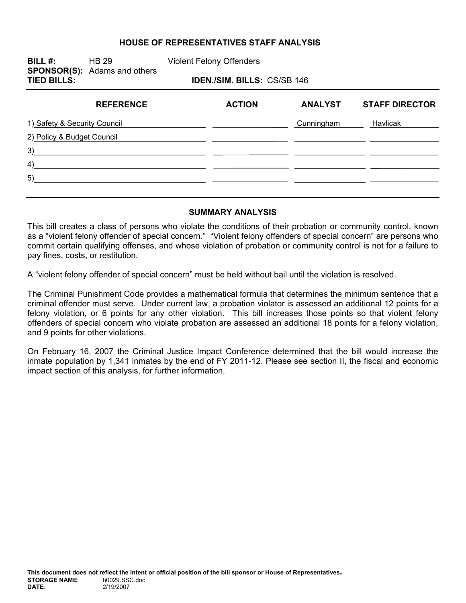#### **HOUSE OF REPRESENTATIVES STAFF ANALYSIS**

**BILL #:** HB 29 Violent Felony Offenders **SPONSOR(S):** Adams and others **TIED BILLS: IDEN./SIM. BILLS:** CS/SB 146

| <b>REFERENCE</b>             | <b>ACTION</b> | <b>ANALYST</b> | <b>STAFF DIRECTOR</b> |
|------------------------------|---------------|----------------|-----------------------|
| 1) Safety & Security Council |               | Cunningham     | Havlicak              |
| 2) Policy & Budget Council   |               |                |                       |
| 3)                           |               |                |                       |
| 4)                           |               |                |                       |
| 5)                           |               |                |                       |
|                              |               |                |                       |

#### **SUMMARY ANALYSIS**

This bill creates a class of persons who violate the conditions of their probation or community control, known as a "violent felony offender of special concern." "Violent felony offenders of special concern" are persons who commit certain qualifying offenses, and whose violation of probation or community control is not for a failure to pay fines, costs, or restitution.

A "violent felony offender of special concern" must be held without bail until the violation is resolved.

The Criminal Punishment Code provides a mathematical formula that determines the minimum sentence that a criminal offender must serve. Under current law, a probation violator is assessed an additional 12 points for a felony violation, or 6 points for any other violation. This bill increases those points so that violent felony offenders of special concern who violate probation are assessed an additional 18 points for a felony violation, and 9 points for other violations.

On February 16, 2007 the Criminal Justice Impact Conference determined that the bill would increase the inmate population by 1,341 inmates by the end of FY 2011-12. Please see section II, the fiscal and economic impact section of this analysis, for further information.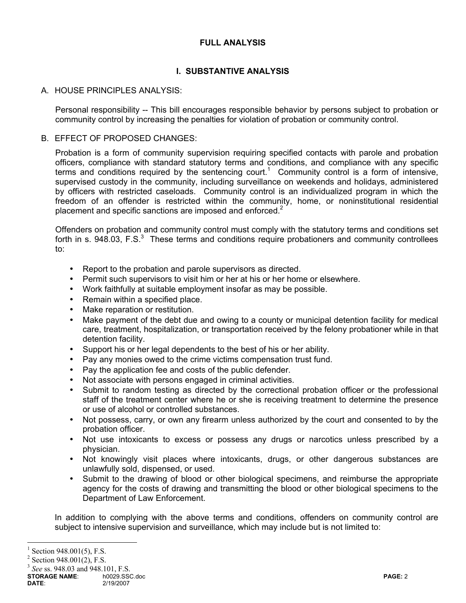## **FULL ANALYSIS**

# **I. SUBSTANTIVE ANALYSIS**

#### A. HOUSE PRINCIPLES ANALYSIS:

Personal responsibility -- This bill encourages responsible behavior by persons subject to probation or community control by increasing the penalties for violation of probation or community control.

#### B. EFFECT OF PROPOSED CHANGES:

Probation is a form of community supervision requiring specified contacts with parole and probation officers, compliance with standard statutory terms and conditions, and compliance with any specific terms and conditions required by the sentencing court.<sup>1</sup> Community control is a form of intensive, supervised custody in the community, including surveillance on weekends and holidays, administered by officers with restricted caseloads. Community control is an individualized program in which the freedom of an offender is restricted within the community, home, or noninstitutional residential placement and specific sanctions are imposed and enforced.<sup>2</sup>

Offenders on probation and community control must comply with the statutory terms and conditions set forth in s. 948.03, F.S. $3$  These terms and conditions require probationers and community controllees to:

- Report to the probation and parole supervisors as directed.
- Permit such supervisors to visit him or her at his or her home or elsewhere.
- Work faithfully at suitable employment insofar as may be possible.
- Remain within a specified place.
- Make reparation or restitution.
- Make payment of the debt due and owing to a county or municipal detention facility for medical care, treatment, hospitalization, or transportation received by the felony probationer while in that detention facility.
- Support his or her legal dependents to the best of his or her ability.
- Pay any monies owed to the crime victims compensation trust fund.
- Pay the application fee and costs of the public defender.
- Not associate with persons engaged in criminal activities.
- Submit to random testing as directed by the correctional probation officer or the professional staff of the treatment center where he or she is receiving treatment to determine the presence or use of alcohol or controlled substances.
- Not possess, carry, or own any firearm unless authorized by the court and consented to by the probation officer.
- Not use intoxicants to excess or possess any drugs or narcotics unless prescribed by a physician.
- Not knowingly visit places where intoxicants, drugs, or other dangerous substances are unlawfully sold, dispensed, or used.
- Submit to the drawing of blood or other biological specimens, and reimburse the appropriate agency for the costs of drawing and transmitting the blood or other biological specimens to the Department of Law Enforcement.

In addition to complying with the above terms and conditions, offenders on community control are subject to intensive supervision and surveillance, which may include but is not limited to:

 $\overline{a}$ 

<sup>3</sup> *See* ss. 948.03 and 948.101, F.S.

**STORAGE NAME:** h0029.SSC.doc **PAGE:** 2<br> **DATE:** 2/19/2007 **PAGE:** 2 **DATE**: 2/19/2007

<sup>1</sup> Section 948.001(5), F.S.

 $2$  Section 948.001(2), F.S.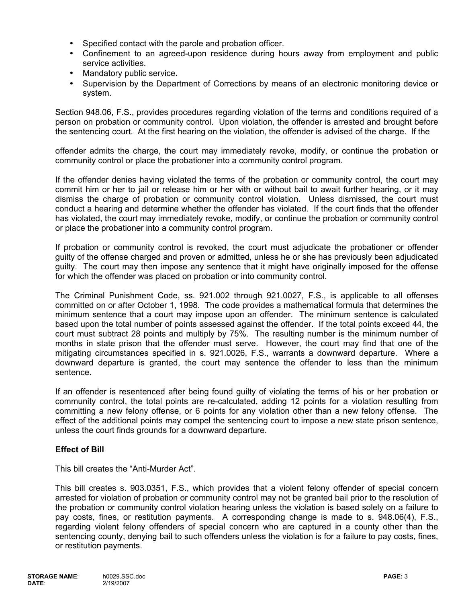- Specified contact with the parole and probation officer.
- Confinement to an agreed-upon residence during hours away from employment and public service activities.
- Mandatory public service.
- Supervision by the Department of Corrections by means of an electronic monitoring device or system.

Section 948.06, F.S., provides procedures regarding violation of the terms and conditions required of a person on probation or community control. Upon violation, the offender is arrested and brought before the sentencing court. At the first hearing on the violation, the offender is advised of the charge. If the

offender admits the charge, the court may immediately revoke, modify, or continue the probation or community control or place the probationer into a community control program.

If the offender denies having violated the terms of the probation or community control, the court may commit him or her to jail or release him or her with or without bail to await further hearing, or it may dismiss the charge of probation or community control violation. Unless dismissed, the court must conduct a hearing and determine whether the offender has violated. If the court finds that the offender has violated, the court may immediately revoke, modify, or continue the probation or community control or place the probationer into a community control program.

If probation or community control is revoked, the court must adjudicate the probationer or offender guilty of the offense charged and proven or admitted, unless he or she has previously been adjudicated guilty. The court may then impose any sentence that it might have originally imposed for the offense for which the offender was placed on probation or into community control.

The Criminal Punishment Code, ss. 921.002 through 921.0027, F.S., is applicable to all offenses committed on or after October 1, 1998. The code provides a mathematical formula that determines the minimum sentence that a court may impose upon an offender. The minimum sentence is calculated based upon the total number of points assessed against the offender. If the total points exceed 44, the court must subtract 28 points and multiply by 75%. The resulting number is the minimum number of months in state prison that the offender must serve. However, the court may find that one of the mitigating circumstances specified in s. 921.0026, F.S., warrants a downward departure. Where a downward departure is granted, the court may sentence the offender to less than the minimum sentence.

If an offender is resentenced after being found guilty of violating the terms of his or her probation or community control, the total points are re-calculated, adding 12 points for a violation resulting from committing a new felony offense, or 6 points for any violation other than a new felony offense. The effect of the additional points may compel the sentencing court to impose a new state prison sentence, unless the court finds grounds for a downward departure.

## **Effect of Bill**

This bill creates the "Anti-Murder Act".

This bill creates s. 903.0351, F.S., which provides that a violent felony offender of special concern arrested for violation of probation or community control may not be granted bail prior to the resolution of the probation or community control violation hearing unless the violation is based solely on a failure to pay costs, fines, or restitution payments. A corresponding change is made to s. 948.06(4), F.S., regarding violent felony offenders of special concern who are captured in a county other than the sentencing county, denying bail to such offenders unless the violation is for a failure to pay costs, fines, or restitution payments.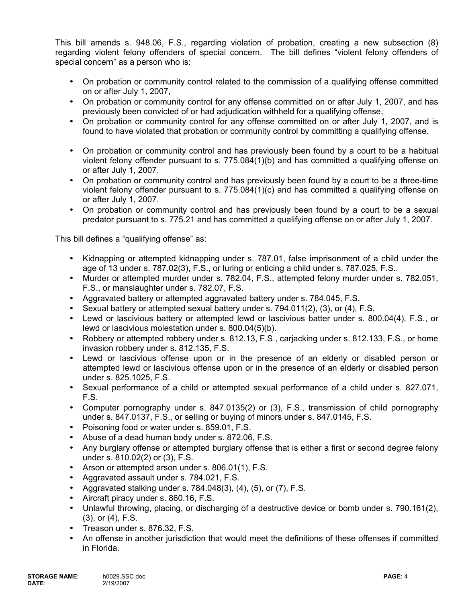This bill amends s. 948.06, F.S., regarding violation of probation, creating a new subsection (8) regarding violent felony offenders of special concern. The bill defines "violent felony offenders of special concern" as a person who is:

- On probation or community control related to the commission of a qualifying offense committed on or after July 1, 2007,
- On probation or community control for any offense committed on or after July 1, 2007, and has previously been convicted of or had adjudication withheld for a qualifying offense,
- On probation or community control for any offense committed on or after July 1, 2007, and is found to have violated that probation or community control by committing a qualifying offense.
- On probation or community control and has previously been found by a court to be a habitual violent felony offender pursuant to s. 775.084(1)(b) and has committed a qualifying offense on or after July 1, 2007.
- On probation or community control and has previously been found by a court to be a three-time violent felony offender pursuant to s. 775.084(1)(c) and has committed a qualifying offense on or after July 1, 2007.
- On probation or community control and has previously been found by a court to be a sexual predator pursuant to s. 775.21 and has committed a qualifying offense on or after July 1, 2007.

This bill defines a "qualifying offense" as:

- Kidnapping or attempted kidnapping under s. 787.01, false imprisonment of a child under the age of 13 under s. 787.02(3), F.S., or luring or enticing a child under s. 787.025, F.S..
- Murder or attempted murder under s. 782.04, F.S., attempted felony murder under s. 782.051, F.S., or manslaughter under s. 782.07, F.S.
- Aggravated battery or attempted aggravated battery under s. 784.045, F.S.
- Sexual battery or attempted sexual battery under s. 794.011(2), (3), or (4), F.S.
- Lewd or lascivious battery or attempted lewd or lascivious batter under s. 800.04(4), F.S., or lewd or lascivious molestation under s. 800.04(5)(b).
- Robbery or attempted robbery under s. 812.13, F.S., carjacking under s. 812.133, F.S., or home invasion robbery under s. 812.135, F.S.
- Lewd or lascivious offense upon or in the presence of an elderly or disabled person or attempted lewd or lascivious offense upon or in the presence of an elderly or disabled person under s. 825.1025, F.S.
- Sexual performance of a child or attempted sexual performance of a child under s. 827.071, F.S.
- Computer pornography under s. 847.0135(2) or (3), F.S., transmission of child pornography under s. 847.0137, F.S., or selling or buying of minors under s. 847.0145, F.S.
- Poisoning food or water under s. 859.01, F.S.
- Abuse of a dead human body under s. 872.06, F.S.
- Any burglary offense or attempted burglary offense that is either a first or second degree felony under s. 810.02(2) or (3), F.S.
- Arson or attempted arson under s. 806.01(1), F.S.
- Aggravated assault under s. 784.021, F.S.
- Aggravated stalking under s.  $784.048(3)$ ,  $(4)$ ,  $(5)$ , or  $(7)$ , F.S.
- Aircraft piracy under s. 860.16, F.S.
- Unlawful throwing, placing, or discharging of a destructive device or bomb under s. 790.161(2), (3), or (4), F.S.
- Treason under s. 876.32, F.S.
- An offense in another jurisdiction that would meet the definitions of these offenses if committed in Florida.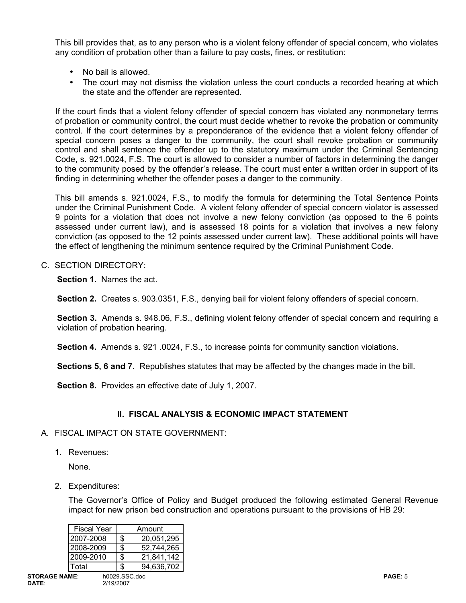This bill provides that, as to any person who is a violent felony offender of special concern, who violates any condition of probation other than a failure to pay costs, fines, or restitution:

- No bail is allowed.
- The court may not dismiss the violation unless the court conducts a recorded hearing at which the state and the offender are represented.

If the court finds that a violent felony offender of special concern has violated any nonmonetary terms of probation or community control, the court must decide whether to revoke the probation or community control. If the court determines by a preponderance of the evidence that a violent felony offender of special concern poses a danger to the community, the court shall revoke probation or community control and shall sentence the offender up to the statutory maximum under the Criminal Sentencing Code, s. 921.0024, F.S. The court is allowed to consider a number of factors in determining the danger to the community posed by the offender's release. The court must enter a written order in support of its finding in determining whether the offender poses a danger to the community.

This bill amends s. 921.0024, F.S., to modify the formula for determining the Total Sentence Points under the Criminal Punishment Code. A violent felony offender of special concern violator is assessed 9 points for a violation that does not involve a new felony conviction (as opposed to the 6 points assessed under current law), and is assessed 18 points for a violation that involves a new felony conviction (as opposed to the 12 points assessed under current law). These additional points will have the effect of lengthening the minimum sentence required by the Criminal Punishment Code.

# C. SECTION DIRECTORY:

**Section 1.** Names the act.

**Section 2.** Creates s. 903.0351, F.S., denying bail for violent felony offenders of special concern.

**Section 3.** Amends s. 948.06, F.S., defining violent felony offender of special concern and requiring a violation of probation hearing.

**Section 4.** Amends s. 921 .0024, F.S., to increase points for community sanction violations.

**Sections 5, 6 and 7.** Republishes statutes that may be affected by the changes made in the bill.

**Section 8.** Provides an effective date of July 1, 2007.

## **II. FISCAL ANALYSIS & ECONOMIC IMPACT STATEMENT**

## A. FISCAL IMPACT ON STATE GOVERNMENT:

1. Revenues:

None.

2. Expenditures:

The Governor's Office of Policy and Budget produced the following estimated General Revenue impact for new prison bed construction and operations pursuant to the provisions of HB 29:

|                      | <b>Fiscal Year</b> |    | Amount        |
|----------------------|--------------------|----|---------------|
|                      | 2007-2008          | \$ | 20,051,295    |
|                      | 2008-2009          | \$ | 52,744,265    |
|                      | 2009-2010          | \$ | 21,841,142    |
|                      | Гotal              | S  | 94,636,702    |
| <b>STORAGE NAME:</b> |                    |    | h0029.SSC.doc |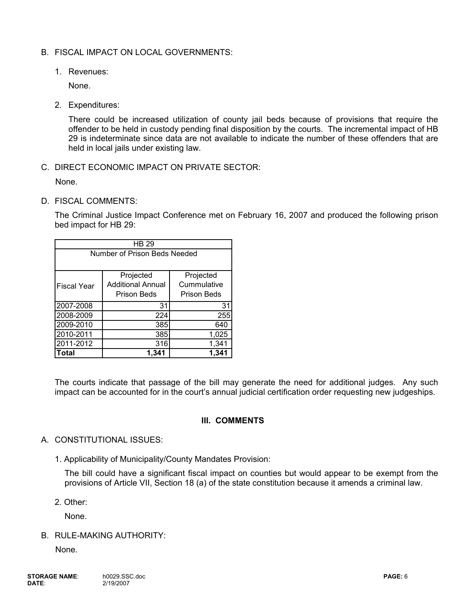# B. FISCAL IMPACT ON LOCAL GOVERNMENTS:

1. Revenues:

None.

2. Expenditures:

There could be increased utilization of county jail beds because of provisions that require the offender to be held in custody pending final disposition by the courts. The incremental impact of HB 29 is indeterminate since data are not available to indicate the number of these offenders that are held in local jails under existing law.

C. DIRECT ECONOMIC IMPACT ON PRIVATE SECTOR:

None.

D. FISCAL COMMENTS:

The Criminal Justice Impact Conference met on February 16, 2007 and produced the following prison bed impact for HB 29:

| HB 29                        |                          |             |  |  |  |  |
|------------------------------|--------------------------|-------------|--|--|--|--|
| Number of Prison Beds Needed |                          |             |  |  |  |  |
|                              |                          |             |  |  |  |  |
|                              | Projected                | Projected   |  |  |  |  |
| <b>Fiscal Year</b>           | <b>Additional Annual</b> | Cummulative |  |  |  |  |
|                              | Prison Beds              | Prison Beds |  |  |  |  |
| 2007-2008                    | 31                       | 31          |  |  |  |  |
| 2008-2009                    | 224                      | 255         |  |  |  |  |
| 2009-2010                    | 385                      | 640         |  |  |  |  |
| 2010-2011                    | 385                      | 1,025       |  |  |  |  |
| 2011-2012                    | 316                      | 1,341       |  |  |  |  |
| Total                        | 1.341                    | 1,341       |  |  |  |  |

The courts indicate that passage of the bill may generate the need for additional judges. Any such impact can be accounted for in the court's annual judicial certification order requesting new judgeships.

## **III. COMMENTS**

## A. CONSTITUTIONAL ISSUES:

1. Applicability of Municipality/County Mandates Provision:

The bill could have a significant fiscal impact on counties but would appear to be exempt from the provisions of Article VII, Section 18 (a) of the state constitution because it amends a criminal law.

2. Other:

None.

B. RULE-MAKING AUTHORITY:

None.